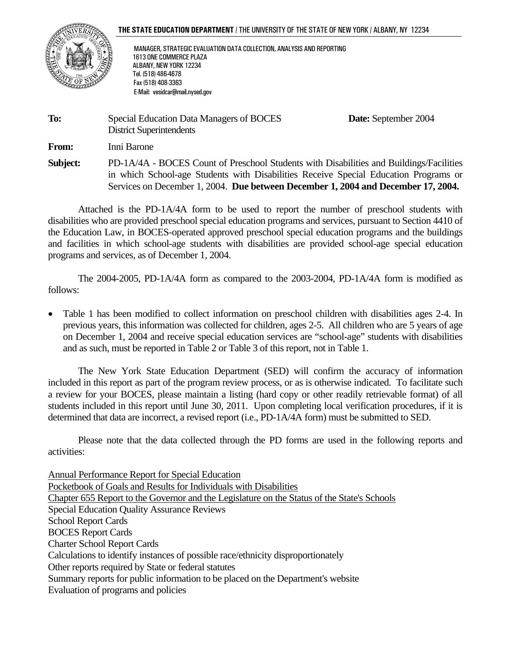



ֺ֝֬֘

 MANAGER, STRATEGIC EVALUATION DATA COLLECTION, ANALYSIS AND REPORTING 1613 ONE COMMERCE PLAZA ALBANY, NEW YORK 12234 Tel. (518) 486-4678 Fax (518) 408-3363 E-Mail: vesidcar@mail.nysed.gov

| To:      | Special Education Data Managers of BOCES<br><b>District Superintendents</b>                                                                                                                                                                                          | <b>Date:</b> September 2004 |
|----------|----------------------------------------------------------------------------------------------------------------------------------------------------------------------------------------------------------------------------------------------------------------------|-----------------------------|
| From:    | Inni Barone                                                                                                                                                                                                                                                          |                             |
| Subject: | PD-1A/4A - BOCES Count of Preschool Students with Disabilities and Buildings/Facilities<br>in which School-age Students with Disabilities Receive Special Education Programs or<br>Services on December 1, 2004. Due between December 1, 2004 and December 17, 2004. |                             |

 Attached is the PD-1A/4A form to be used to report the number of preschool students with disabilities who are provided preschool special education programs and services, pursuant to Section 4410 of the Education Law, in BOCES-operated approved preschool special education programs and the buildings and facilities in which school-age students with disabilities are provided school-age special education programs and services, as of December 1, 2004.

 The 2004-2005, PD-1A/4A form as compared to the 2003-2004, PD-1A/4A form is modified as follows:

• Table 1 has been modified to collect information on preschool children with disabilities ages 2-4. In previous years, this information was collected for children, ages 2-5. All children who are 5 years of age on December 1, 2004 and receive special education services are "school-age" students with disabilities and as such, must be reported in Table 2 or Table 3 of this report, not in Table 1.

 The New York State Education Department (SED) will confirm the accuracy of information included in this report as part of the program review process, or as is otherwise indicated. To facilitate such a review for your BOCES, please maintain a listing (hard copy or other readily retrievable format) of all students included in this report until June 30, 2011. Upon completing local verification procedures, if it is determined that data are incorrect, a revised report (i.e., PD-1A/4A form) must be submitted to SED.

Please note that the data collected through the PD forms are used in the following reports and activities:

Annual Performance Report for Special Education Pocketbook of Goals and Results for Individuals with Disabilities Chapter 655 Report to the Governor and the Legislature on the Status of the State's Schools Special Education Quality Assurance Reviews School Report Cards BOCES Report Cards Charter School Report Cards Calculations to identify instances of possible race/ethnicity disproportionately Other reports required by State or federal statutes Summary reports for public information to be placed on the Department's website Evaluation of programs and policies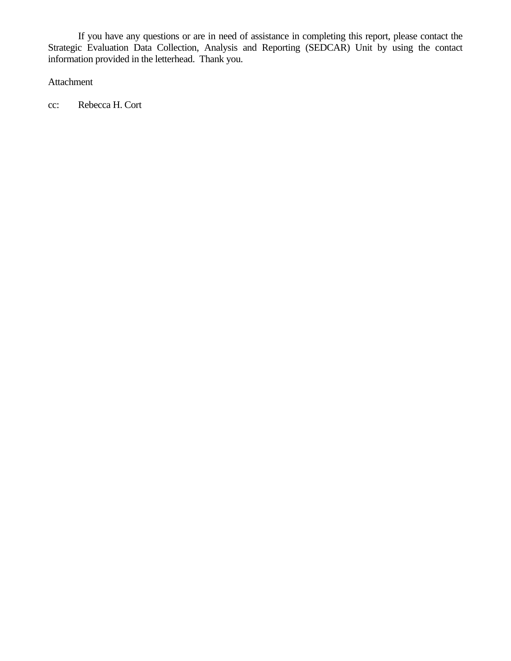If you have any questions or are in need of assistance in completing this report, please contact the Strategic Evaluation Data Collection, Analysis and Reporting (SEDCAR) Unit by using the contact information provided in the letterhead. Thank you.

Attachment

cc: Rebecca H. Cort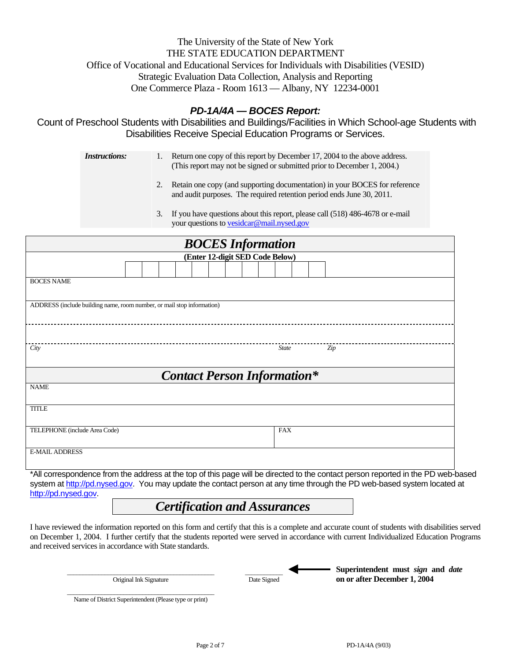# The University of the State of New York THE STATE EDUCATION DEPARTMENT Office of Vocational and Educational Services for Individuals with Disabilities (VESID) Strategic Evaluation Data Collection, Analysis and Reporting One Commerce Plaza - Room 1613 — Albany, NY 12234-0001

# *PD-1A/4A — BOCES Report:*

Count of Preschool Students with Disabilities and Buildings/Facilities in Which School-age Students with Disabilities Receive Special Education Programs or Services.

| <i>Instructions:</i> | 1. Return one copy of this report by December 17, 2004 to the above address. |
|----------------------|------------------------------------------------------------------------------|
|                      | (This report may not be signed or submitted prior to December 1, 2004.)      |

- 2. Retain one copy (and supporting documentation) in your BOCES for reference and audit purposes. The required retention period ends June 30, 2011.
- 3. If you have questions about this report, please call (518) 486-4678 or e-mail your questions to vesidcar@mail.nysed.gov

| <b>BOCES</b> Information                                               |              |  |  |  |  |  |  |
|------------------------------------------------------------------------|--------------|--|--|--|--|--|--|
| (Enter 12-digit SED Code Below)                                        |              |  |  |  |  |  |  |
|                                                                        |              |  |  |  |  |  |  |
| <b>BOCES NAME</b>                                                      |              |  |  |  |  |  |  |
| ADDRESS (include building name, room number, or mail stop information) |              |  |  |  |  |  |  |
|                                                                        |              |  |  |  |  |  |  |
| City                                                                   | State<br>Zip |  |  |  |  |  |  |
| <b>Contact Person Information*</b>                                     |              |  |  |  |  |  |  |
| <b>NAME</b>                                                            |              |  |  |  |  |  |  |
| <b>TITLE</b>                                                           |              |  |  |  |  |  |  |
| TELEPHONE (include Area Code)                                          | <b>FAX</b>   |  |  |  |  |  |  |
| <b>E-MAIL ADDRESS</b>                                                  |              |  |  |  |  |  |  |

\*All correspondence from the address at the top of this page will be directed to the contact person reported in the PD web-based system at http://pd.nysed.gov. You may update the contact person at any time through the PD web-based system located at http://pd.nysed.gov.

# *Certification and Assurances*

I have reviewed the information reported on this form and certify that this is a complete and accurate count of students with disabilities served on December 1, 2004. I further certify that the students reported were served in accordance with current Individualized Education Programs and received services in accordance with State standards.

| Original Ink Signature                                 | Date Signed | Superintendent must sign and <i>date</i><br>on or after December 1, 2004 |
|--------------------------------------------------------|-------------|--------------------------------------------------------------------------|
| Name of District Superintendent (Please type or print) |             |                                                                          |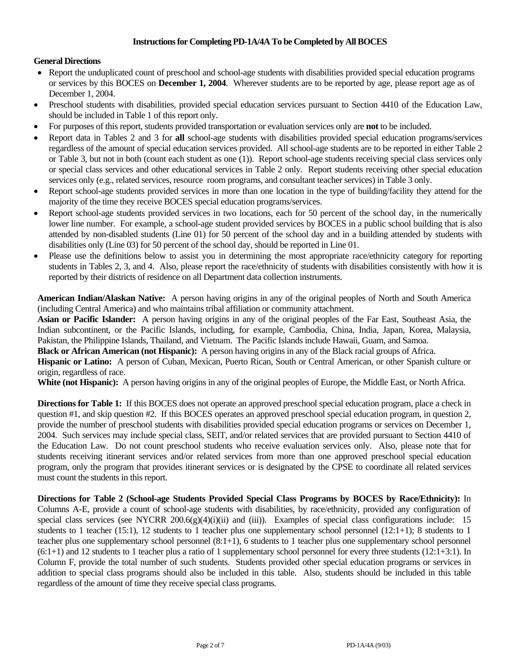### **Instructions for Completing PD-1A/4A To be Completed by All BOCES**

#### **General Directions**

- Report the unduplicated count of preschool and school-age students with disabilities provided special education programs or services by this BOCES on **December 1, 2004**. Wherever students are to be reported by age, please report age as of December 1, 2004.
- Preschool students with disabilities, provided special education services pursuant to Section 4410 of the Education Law, should be included in Table 1 of this report only.
- For purposes of this report, students provided transportation or evaluation services only are **not** to be included.
- Report data in Tables 2 and 3 for **all** school-age students with disabilities provided special education programs/services regardless of the amount of special education services provided. All school-age students are to be reported in either Table 2 or Table 3, but not in both (count each student as one (1)). Report school-age students receiving special class services only or special class services and other educational services in Table 2 only. Report students receiving other special education services only (e.g., related services, resource room programs, and consultant teacher services) in Table 3 only.
- Report school-age students provided services in more than one location in the type of building/facility they attend for the majority of the time they receive BOCES special education programs/services.
- Report school-age students provided services in two locations, each for 50 percent of the school day, in the numerically lower line number. For example, a school-age student provided services by BOCES in a public school building that is also attended by non-disabled students (Line 01) for 50 percent of the school day and in a building attended by students with disabilities only (Line 03) for 50 percent of the school day, should be reported in Line 01.
- Please use the definitions below to assist you in determining the most appropriate race/ethnicity category for reporting students in Tables 2, 3, and 4. Also, please report the race/ethnicity of students with disabilities consistently with how it is reported by their districts of residence on all Department data collection instruments.

**American Indian/Alaskan Native:** A person having origins in any of the original peoples of North and South America (including Central America) and who maintains tribal affiliation or community attachment.

**Asian or Pacific Islander:** A person having origins in any of the original peoples of the Far East, Southeast Asia, the Indian subcontinent, or the Pacific Islands, including, for example, Cambodia, China, India, Japan, Korea, Malaysia, Pakistan, the Philippine Islands, Thailand, and Vietnam. The Pacific Islands include Hawaii, Guam, and Samoa.

**Black or African American (not Hispanic):** A person having origins in any of the Black racial groups of Africa.

**Hispanic or Latino:** A person of Cuban, Mexican, Puerto Rican, South or Central American, or other Spanish culture or origin, regardless of race.

**White (not Hispanic):** A person having origins in any of the original peoples of Europe, the Middle East, or North Africa.

**Directions for Table 1:** If this BOCES does not operate an approved preschool special education program, place a check in question #1, and skip question #2. If this BOCES operates an approved preschool special education program, in question 2, provide the number of preschool students with disabilities provided special education programs or services on December 1, 2004. Such services may include special class, SEIT, and/or related services that are provided pursuant to Section 4410 of the Education Law. Do not count preschool students who receive evaluation services only. Also, please note that for students receiving itinerant services and/or related services from more than one approved preschool special education program, only the program that provides itinerant services or is designated by the CPSE to coordinate all related services must count the students in this report.

**Directions for Table 2 (School-age Students Provided Special Class Programs by BOCES by Race/Ethnicity):** In Columns A-E, provide a count of school-age students with disabilities, by race/ethnicity, provided any configuration of special class services (see NYCRR 200.6(g)(4)(i)(ii) and (iii)). Examples of special class configurations include: 15 students to 1 teacher (15:1), 12 students to 1 teacher plus one supplementary school personnel (12:1+1); 8 students to 1 teacher plus one supplementary school personnel (8:1+1), 6 students to 1 teacher plus one supplementary school personnel  $(6:1+1)$  and 12 students to 1 teacher plus a ratio of 1 supplementary school personnel for every three students  $(12:1+3:1)$ . In Column F, provide the total number of such students. Students provided other special education programs or services in addition to special class programs should also be included in this table. Also, students should be included in this table regardless of the amount of time they receive special class programs.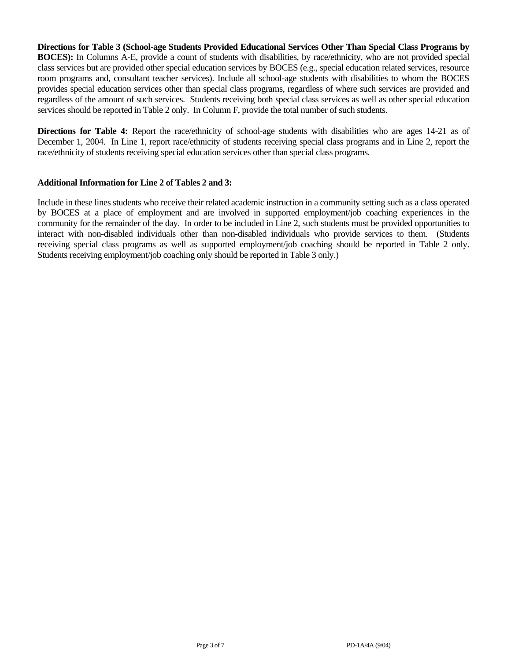**Directions for Table 3 (School-age Students Provided Educational Services Other Than Special Class Programs by BOCES):** In Columns A-E, provide a count of students with disabilities, by race/ethnicity, who are not provided special class services but are provided other special education services by BOCES (e.g., special education related services, resource room programs and, consultant teacher services). Include all school-age students with disabilities to whom the BOCES provides special education services other than special class programs, regardless of where such services are provided and regardless of the amount of such services. Students receiving both special class services as well as other special education services should be reported in Table 2 only. In Column F, provide the total number of such students.

**Directions for Table 4:** Report the race/ethnicity of school-age students with disabilities who are ages 14-21 as of December 1, 2004. In Line 1, report race/ethnicity of students receiving special class programs and in Line 2, report the race/ethnicity of students receiving special education services other than special class programs.

#### **Additional Information for Line 2 of Tables 2 and 3:**

Include in these lines students who receive their related academic instruction in a community setting such as a class operated by BOCES at a place of employment and are involved in supported employment/job coaching experiences in the community for the remainder of the day. In order to be included in Line 2, such students must be provided opportunities to interact with non-disabled individuals other than non-disabled individuals who provide services to them. (Students receiving special class programs as well as supported employment/job coaching should be reported in Table 2 only. Students receiving employment/job coaching only should be reported in Table 3 only.)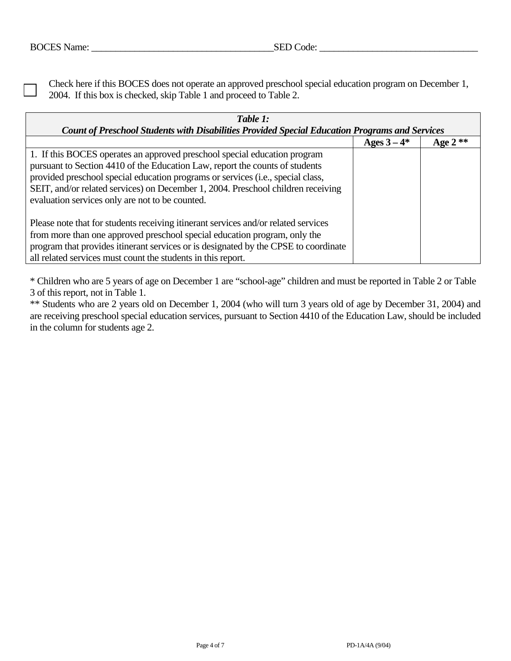Check here if this BOCES does not operate an approved preschool special education program on December 1, 2004. If this box is checked, skip Table 1 and proceed to Table 2.

| Table 1:                                                                                                                                                                                                                                                                                                                                                                            |  |  |  |  |  |  |  |
|-------------------------------------------------------------------------------------------------------------------------------------------------------------------------------------------------------------------------------------------------------------------------------------------------------------------------------------------------------------------------------------|--|--|--|--|--|--|--|
| Count of Preschool Students with Disabilities Provided Special Education Programs and Services<br>Ages $3-4*$<br>Age $2**$                                                                                                                                                                                                                                                          |  |  |  |  |  |  |  |
| 1. If this BOCES operates an approved preschool special education program<br>pursuant to Section 4410 of the Education Law, report the counts of students<br>provided preschool special education programs or services (i.e., special class,<br>SEIT, and/or related services) on December 1, 2004. Preschool children receiving<br>evaluation services only are not to be counted. |  |  |  |  |  |  |  |
| Please note that for students receiving itinerant services and/or related services<br>from more than one approved preschool special education program, only the<br>program that provides itinerant services or is designated by the CPSE to coordinate<br>all related services must count the students in this report.                                                              |  |  |  |  |  |  |  |

\* Children who are 5 years of age on December 1 are "school-age" children and must be reported in Table 2 or Table 3 of this report, not in Table 1.

\*\* Students who are 2 years old on December 1, 2004 (who will turn 3 years old of age by December 31, 2004) and are receiving preschool special education services, pursuant to Section 4410 of the Education Law, should be included in the column for students age 2.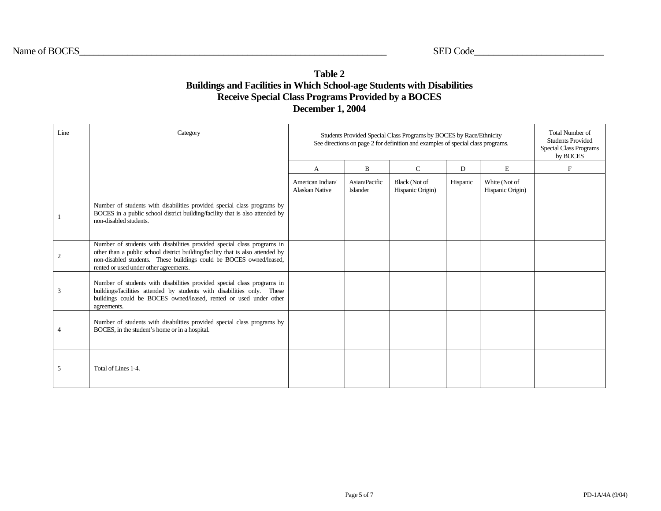## **Table 2 Buildings and Facilities in Which School-age Students with Disabilities Receive Special Class Programs Provided by a BOCES December 1, 2004**

| Line | Category                                                                                                                                                                                                                                                                   | Students Provided Special Class Programs by BOCES by Race/Ethnicity<br>See directions on page 2 for definition and examples of special class programs. | <b>Total Number of</b><br><b>Students Provided</b><br><b>Special Class Programs</b><br>by BOCES |                                          |          |                                   |             |
|------|----------------------------------------------------------------------------------------------------------------------------------------------------------------------------------------------------------------------------------------------------------------------------|--------------------------------------------------------------------------------------------------------------------------------------------------------|-------------------------------------------------------------------------------------------------|------------------------------------------|----------|-----------------------------------|-------------|
|      |                                                                                                                                                                                                                                                                            | A                                                                                                                                                      | $\mathbf B$                                                                                     | $\mathsf{C}$                             | D        | E                                 | $\mathbf F$ |
|      |                                                                                                                                                                                                                                                                            | American Indian/<br><b>Alaskan Native</b>                                                                                                              | Asian/Pacific<br><b>Islander</b>                                                                | <b>Black</b> (Not of<br>Hispanic Origin) | Hispanic | White (Not of<br>Hispanic Origin) |             |
|      | Number of students with disabilities provided special class programs by<br>BOCES in a public school district building/facility that is also attended by<br>non-disabled students.                                                                                          |                                                                                                                                                        |                                                                                                 |                                          |          |                                   |             |
| 2    | Number of students with disabilities provided special class programs in<br>other than a public school district building/facility that is also attended by<br>non-disabled students. These buildings could be BOCES owned/leased,<br>rented or used under other agreements. |                                                                                                                                                        |                                                                                                 |                                          |          |                                   |             |
| 3    | Number of students with disabilities provided special class programs in<br>buildings/facilities attended by students with disabilities only. These<br>buildings could be BOCES owned/leased, rented or used under other<br>agreements.                                     |                                                                                                                                                        |                                                                                                 |                                          |          |                                   |             |
| 4    | Number of students with disabilities provided special class programs by<br>BOCES, in the student's home or in a hospital.                                                                                                                                                  |                                                                                                                                                        |                                                                                                 |                                          |          |                                   |             |
| 5    | Total of Lines 1-4.                                                                                                                                                                                                                                                        |                                                                                                                                                        |                                                                                                 |                                          |          |                                   |             |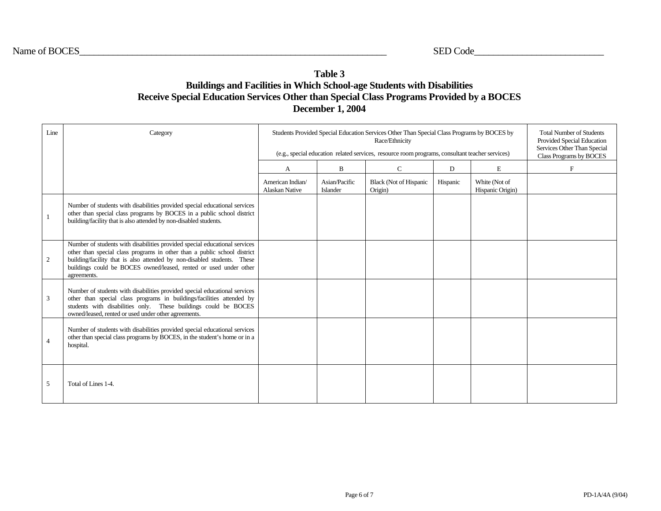# **Table 3 Buildings and Facilities in Which School-age Students with Disabilities Receive Special Education Services Other than Special Class Programs Provided by a BOCES December 1, 2004**

| Line           | Category                                                                                                                                                                                                                                                                                                              | Students Provided Special Education Services Other Than Special Class Programs by BOCES by<br>(e.g., special education related services, resource room programs, consultant teacher services) | <b>Total Number of Students</b><br>Provided Special Education<br>Services Other Than Special<br>Class Programs by BOCES |                                          |          |                                   |   |
|----------------|-----------------------------------------------------------------------------------------------------------------------------------------------------------------------------------------------------------------------------------------------------------------------------------------------------------------------|-----------------------------------------------------------------------------------------------------------------------------------------------------------------------------------------------|-------------------------------------------------------------------------------------------------------------------------|------------------------------------------|----------|-----------------------------------|---|
|                |                                                                                                                                                                                                                                                                                                                       | A                                                                                                                                                                                             | B                                                                                                                       | $\mathbf C$                              | D        | E                                 | F |
|                |                                                                                                                                                                                                                                                                                                                       | American Indian/<br><b>Alaskan Native</b>                                                                                                                                                     | Asian/Pacific<br>Islander                                                                                               | <b>Black (Not of Hispanic</b><br>Origin) | Hispanic | White (Not of<br>Hispanic Origin) |   |
| $\mathbf{1}$   | Number of students with disabilities provided special educational services<br>other than special class programs by BOCES in a public school district<br>building/facility that is also attended by non-disabled students.                                                                                             |                                                                                                                                                                                               |                                                                                                                         |                                          |          |                                   |   |
| 2              | Number of students with disabilities provided special educational services<br>other than special class programs in other than a public school district<br>building/facility that is also attended by non-disabled students. These<br>buildings could be BOCES owned/leased, rented or used under other<br>agreements. |                                                                                                                                                                                               |                                                                                                                         |                                          |          |                                   |   |
| $\mathbf{3}$   | Number of students with disabilities provided special educational services<br>other than special class programs in buildings/facilities attended by<br>students with disabilities only. These buildings could be BOCES<br>owned/leased, rented or used under other agreements.                                        |                                                                                                                                                                                               |                                                                                                                         |                                          |          |                                   |   |
| $\overline{4}$ | Number of students with disabilities provided special educational services<br>other than special class programs by BOCES, in the student's home or in a<br>hospital.                                                                                                                                                  |                                                                                                                                                                                               |                                                                                                                         |                                          |          |                                   |   |
| 5              | Total of Lines 1-4.                                                                                                                                                                                                                                                                                                   |                                                                                                                                                                                               |                                                                                                                         |                                          |          |                                   |   |